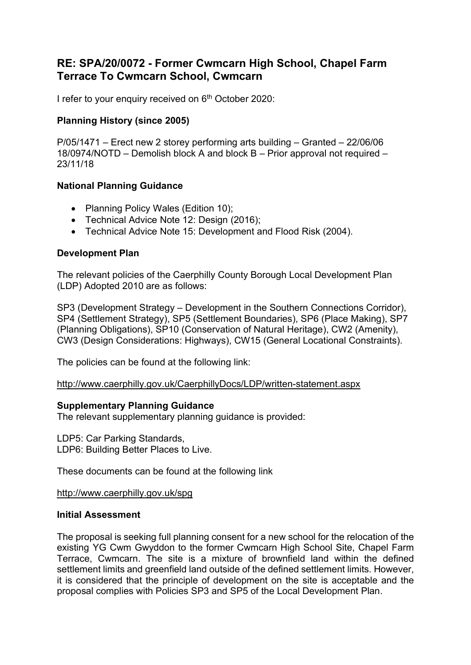# RE: SPA/20/0072 - Former Cwmcarn High School, Chapel Farm Terrace To Cwmcarn School, Cwmcarn

I refer to your enquiry received on 6<sup>th</sup> October 2020:

## Planning History (since 2005)

P/05/1471 – Erect new 2 storey performing arts building – Granted – 22/06/06 18/0974/NOTD – Demolish block A and block B – Prior approval not required – 23/11/18

## National Planning Guidance

- Planning Policy Wales (Edition 10);
- Technical Advice Note 12: Design (2016);
- Technical Advice Note 15: Development and Flood Risk (2004).

### Development Plan

The relevant policies of the Caerphilly County Borough Local Development Plan (LDP) Adopted 2010 are as follows:

SP3 (Development Strategy – Development in the Southern Connections Corridor), SP4 (Settlement Strategy), SP5 (Settlement Boundaries), SP6 (Place Making), SP7 (Planning Obligations), SP10 (Conservation of Natural Heritage), CW2 (Amenity), CW3 (Design Considerations: Highways), CW15 (General Locational Constraints).

The policies can be found at the following link:

http://www.caerphilly.gov.uk/CaerphillyDocs/LDP/written-statement.aspx

#### Supplementary Planning Guidance

The relevant supplementary planning guidance is provided:

LDP5: Car Parking Standards, LDP6: Building Better Places to Live.

These documents can be found at the following link

http://www.caerphilly.gov.uk/spg

#### Initial Assessment

The proposal is seeking full planning consent for a new school for the relocation of the existing YG Cwm Gwyddon to the former Cwmcarn High School Site, Chapel Farm Terrace, Cwmcarn. The site is a mixture of brownfield land within the defined settlement limits and greenfield land outside of the defined settlement limits. However, it is considered that the principle of development on the site is acceptable and the proposal complies with Policies SP3 and SP5 of the Local Development Plan.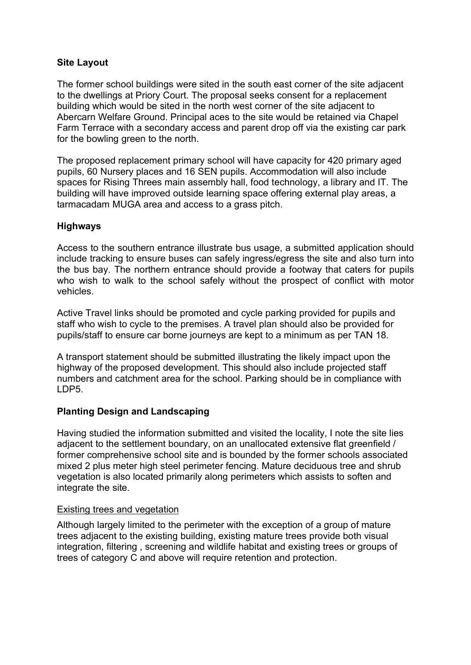## Site Layout

The former school buildings were sited in the south east corner of the site adjacent to the dwellings at Priory Court. The proposal seeks consent for a replacement building which would be sited in the north west corner of the site adjacent to Abercarn Welfare Ground. Principal aces to the site would be retained via Chapel Farm Terrace with a secondary access and parent drop off via the existing car park for the bowling green to the north.

The proposed replacement primary school will have capacity for 420 primary aged pupils, 60 Nursery places and 16 SEN pupils. Accommodation will also include spaces for Rising Threes main assembly hall, food technology, a library and IT. The building will have improved outside learning space offering external play areas, a tarmacadam MUGA area and access to a grass pitch.

## **Highways**

Access to the southern entrance illustrate bus usage, a submitted application should include tracking to ensure buses can safely ingress/egress the site and also turn into the bus bay. The northern entrance should provide a footway that caters for pupils who wish to walk to the school safely without the prospect of conflict with motor vehicles.

Active Travel links should be promoted and cycle parking provided for pupils and staff who wish to cycle to the premises. A travel plan should also be provided for pupils/staff to ensure car borne journeys are kept to a minimum as per TAN 18.

A transport statement should be submitted illustrating the likely impact upon the highway of the proposed development. This should also include projected staff numbers and catchment area for the school. Parking should be in compliance with LDP5.

# Planting Design and Landscaping

Having studied the information submitted and visited the locality, I note the site lies adjacent to the settlement boundary, on an unallocated extensive flat greenfield / former comprehensive school site and is bounded by the former schools associated mixed 2 plus meter high steel perimeter fencing. Mature deciduous tree and shrub vegetation is also located primarily along perimeters which assists to soften and integrate the site.

## Existing trees and vegetation

Although largely limited to the perimeter with the exception of a group of mature trees adjacent to the existing building, existing mature trees provide both visual integration, filtering , screening and wildlife habitat and existing trees or groups of trees of category C and above will require retention and protection.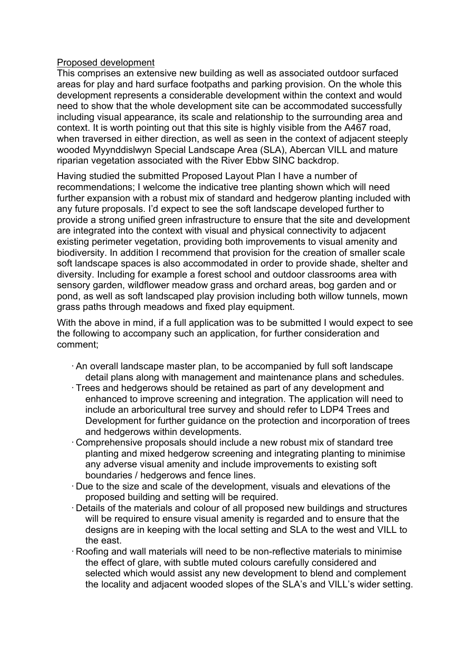## Proposed development

This comprises an extensive new building as well as associated outdoor surfaced areas for play and hard surface footpaths and parking provision. On the whole this development represents a considerable development within the context and would need to show that the whole development site can be accommodated successfully including visual appearance, its scale and relationship to the surrounding area and context. It is worth pointing out that this site is highly visible from the A467 road, when traversed in either direction, as well as seen in the context of adjacent steeply wooded Myynddislwyn Special Landscape Area (SLA), Abercan VILL and mature riparian vegetation associated with the River Ebbw SINC backdrop.

Having studied the submitted Proposed Layout Plan I have a number of recommendations; I welcome the indicative tree planting shown which will need further expansion with a robust mix of standard and hedgerow planting included with any future proposals. I'd expect to see the soft landscape developed further to provide a strong unified green infrastructure to ensure that the site and development are integrated into the context with visual and physical connectivity to adjacent existing perimeter vegetation, providing both improvements to visual amenity and biodiversity. In addition I recommend that provision for the creation of smaller scale soft landscape spaces is also accommodated in order to provide shade, shelter and diversity. Including for example a forest school and outdoor classrooms area with sensory garden, wildflower meadow grass and orchard areas, bog garden and or pond, as well as soft landscaped play provision including both willow tunnels, mown grass paths through meadows and fixed play equipment.

With the above in mind, if a full application was to be submitted I would expect to see the following to accompany such an application, for further consideration and comment;

- ·An overall landscape master plan, to be accompanied by full soft landscape detail plans along with management and maintenance plans and schedules.
- · Trees and hedgerows should be retained as part of any development and enhanced to improve screening and integration. The application will need to include an arboricultural tree survey and should refer to LDP4 Trees and Development for further guidance on the protection and incorporation of trees and hedgerows within developments.
- · Comprehensive proposals should include a new robust mix of standard tree planting and mixed hedgerow screening and integrating planting to minimise any adverse visual amenity and include improvements to existing soft boundaries / hedgerows and fence lines.
- · Due to the size and scale of the development, visuals and elevations of the proposed building and setting will be required.
- · Details of the materials and colour of all proposed new buildings and structures will be required to ensure visual amenity is regarded and to ensure that the designs are in keeping with the local setting and SLA to the west and VILL to the east.
- · Roofing and wall materials will need to be non-reflective materials to minimise the effect of glare, with subtle muted colours carefully considered and selected which would assist any new development to blend and complement the locality and adjacent wooded slopes of the SLA's and VILL's wider setting.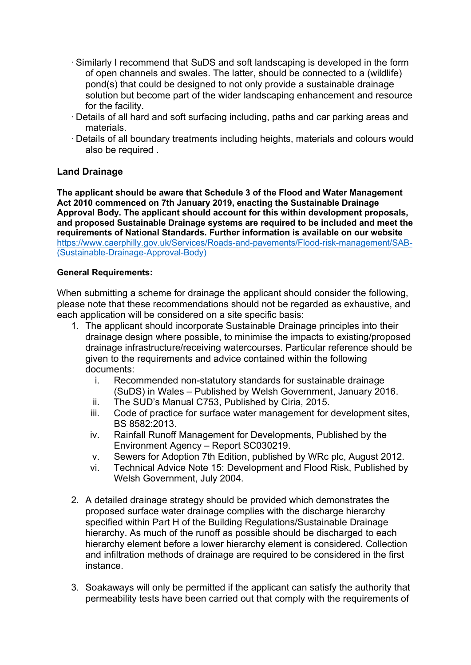- ·Similarly I recommend that SuDS and soft landscaping is developed in the form of open channels and swales. The latter, should be connected to a (wildlife) pond(s) that could be designed to not only provide a sustainable drainage solution but become part of the wider landscaping enhancement and resource for the facility.
- · Details of all hard and soft surfacing including, paths and car parking areas and materials.
- · Details of all boundary treatments including heights, materials and colours would also be required .

# Land Drainage

The applicant should be aware that Schedule 3 of the Flood and Water Management Act 2010 commenced on 7th January 2019, enacting the Sustainable Drainage Approval Body. The applicant should account for this within development proposals, and proposed Sustainable Drainage systems are required to be included and meet the requirements of National Standards. Further information is available on our website https://www.caerphilly.gov.uk/Services/Roads-and-pavements/Flood-risk-management/SAB- (Sustainable-Drainage-Approval-Body)

### General Requirements:

When submitting a scheme for drainage the applicant should consider the following, please note that these recommendations should not be regarded as exhaustive, and each application will be considered on a site specific basis:

- 1. The applicant should incorporate Sustainable Drainage principles into their drainage design where possible, to minimise the impacts to existing/proposed drainage infrastructure/receiving watercourses. Particular reference should be given to the requirements and advice contained within the following documents:
	- i. Recommended non-statutory standards for sustainable drainage (SuDS) in Wales – Published by Welsh Government, January 2016.
	- ii. The SUD's Manual C753, Published by Ciria, 2015.
	- iii. Code of practice for surface water management for development sites, BS 8582:2013.
	- iv. Rainfall Runoff Management for Developments, Published by the Environment Agency – Report SC030219.
	- v. Sewers for Adoption 7th Edition, published by WRc plc, August 2012.
	- vi. Technical Advice Note 15: Development and Flood Risk, Published by Welsh Government, July 2004.
- 2. A detailed drainage strategy should be provided which demonstrates the proposed surface water drainage complies with the discharge hierarchy specified within Part H of the Building Regulations/Sustainable Drainage hierarchy. As much of the runoff as possible should be discharged to each hierarchy element before a lower hierarchy element is considered. Collection and infiltration methods of drainage are required to be considered in the first instance.
- 3. Soakaways will only be permitted if the applicant can satisfy the authority that permeability tests have been carried out that comply with the requirements of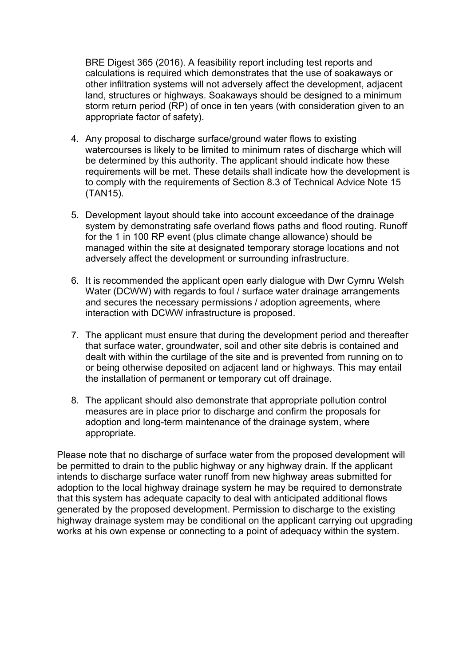BRE Digest 365 (2016). A feasibility report including test reports and calculations is required which demonstrates that the use of soakaways or other infiltration systems will not adversely affect the development, adjacent land, structures or highways. Soakaways should be designed to a minimum storm return period (RP) of once in ten years (with consideration given to an appropriate factor of safety).

- 4. Any proposal to discharge surface/ground water flows to existing watercourses is likely to be limited to minimum rates of discharge which will be determined by this authority. The applicant should indicate how these requirements will be met. These details shall indicate how the development is to comply with the requirements of Section 8.3 of Technical Advice Note 15 (TAN15).
- 5. Development layout should take into account exceedance of the drainage system by demonstrating safe overland flows paths and flood routing. Runoff for the 1 in 100 RP event (plus climate change allowance) should be managed within the site at designated temporary storage locations and not adversely affect the development or surrounding infrastructure.
- 6. It is recommended the applicant open early dialogue with Dwr Cymru Welsh Water (DCWW) with regards to foul / surface water drainage arrangements and secures the necessary permissions / adoption agreements, where interaction with DCWW infrastructure is proposed.
- 7. The applicant must ensure that during the development period and thereafter that surface water, groundwater, soil and other site debris is contained and dealt with within the curtilage of the site and is prevented from running on to or being otherwise deposited on adjacent land or highways. This may entail the installation of permanent or temporary cut off drainage.
- 8. The applicant should also demonstrate that appropriate pollution control measures are in place prior to discharge and confirm the proposals for adoption and long-term maintenance of the drainage system, where appropriate.

Please note that no discharge of surface water from the proposed development will be permitted to drain to the public highway or any highway drain. If the applicant intends to discharge surface water runoff from new highway areas submitted for adoption to the local highway drainage system he may be required to demonstrate that this system has adequate capacity to deal with anticipated additional flows generated by the proposed development. Permission to discharge to the existing highway drainage system may be conditional on the applicant carrying out upgrading works at his own expense or connecting to a point of adequacy within the system.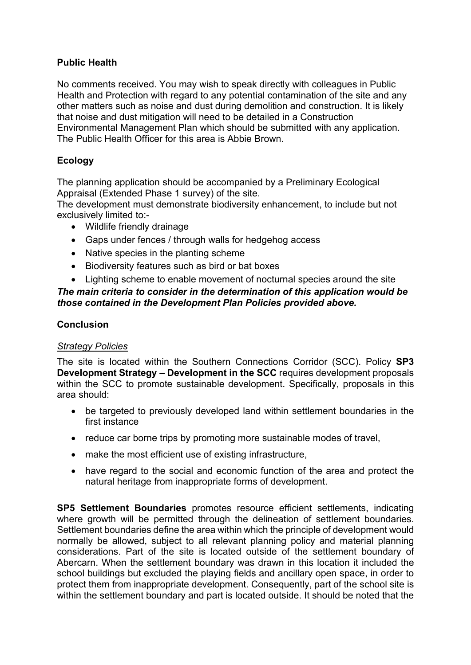# Public Health

No comments received. You may wish to speak directly with colleagues in Public Health and Protection with regard to any potential contamination of the site and any other matters such as noise and dust during demolition and construction. It is likely that noise and dust mitigation will need to be detailed in a Construction Environmental Management Plan which should be submitted with any application. The Public Health Officer for this area is Abbie Brown.

# Ecology

The planning application should be accompanied by a Preliminary Ecological Appraisal (Extended Phase 1 survey) of the site.

The development must demonstrate biodiversity enhancement, to include but not exclusively limited to:-

- Wildlife friendly drainage
- Gaps under fences / through walls for hedgehog access
- Native species in the planting scheme
- Biodiversity features such as bird or bat boxes
- Lighting scheme to enable movement of nocturnal species around the site

# The main criteria to consider in the determination of this application would be those contained in the Development Plan Policies provided above.

## Conclusion

## Strategy Policies

The site is located within the Southern Connections Corridor (SCC). Policy SP3 Development Strategy – Development in the SCC requires development proposals within the SCC to promote sustainable development. Specifically, proposals in this area should:

- be targeted to previously developed land within settlement boundaries in the first instance
- reduce car borne trips by promoting more sustainable modes of travel.
- make the most efficient use of existing infrastructure,
- have regard to the social and economic function of the area and protect the natural heritage from inappropriate forms of development.

SP5 Settlement Boundaries promotes resource efficient settlements, indicating where growth will be permitted through the delineation of settlement boundaries. Settlement boundaries define the area within which the principle of development would normally be allowed, subject to all relevant planning policy and material planning considerations. Part of the site is located outside of the settlement boundary of Abercarn. When the settlement boundary was drawn in this location it included the school buildings but excluded the playing fields and ancillary open space, in order to protect them from inappropriate development. Consequently, part of the school site is within the settlement boundary and part is located outside. It should be noted that the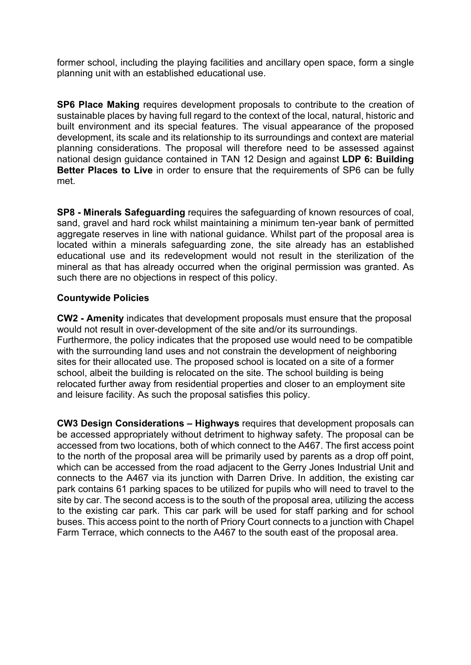former school, including the playing facilities and ancillary open space, form a single planning unit with an established educational use.

SP6 Place Making requires development proposals to contribute to the creation of sustainable places by having full regard to the context of the local, natural, historic and built environment and its special features. The visual appearance of the proposed development, its scale and its relationship to its surroundings and context are material planning considerations. The proposal will therefore need to be assessed against national design guidance contained in TAN 12 Design and against LDP 6: Building Better Places to Live in order to ensure that the requirements of SP6 can be fully met.

SP8 - Minerals Safeguarding requires the safeguarding of known resources of coal, sand, gravel and hard rock whilst maintaining a minimum ten-year bank of permitted aggregate reserves in line with national guidance. Whilst part of the proposal area is located within a minerals safeguarding zone, the site already has an established educational use and its redevelopment would not result in the sterilization of the mineral as that has already occurred when the original permission was granted. As such there are no objections in respect of this policy.

## Countywide Policies

CW2 - Amenity indicates that development proposals must ensure that the proposal would not result in over-development of the site and/or its surroundings. Furthermore, the policy indicates that the proposed use would need to be compatible with the surrounding land uses and not constrain the development of neighboring sites for their allocated use. The proposed school is located on a site of a former school, albeit the building is relocated on the site. The school building is being relocated further away from residential properties and closer to an employment site and leisure facility. As such the proposal satisfies this policy.

CW3 Design Considerations – Highways requires that development proposals can be accessed appropriately without detriment to highway safety. The proposal can be accessed from two locations, both of which connect to the A467. The first access point to the north of the proposal area will be primarily used by parents as a drop off point, which can be accessed from the road adjacent to the Gerry Jones Industrial Unit and connects to the A467 via its junction with Darren Drive. In addition, the existing car park contains 61 parking spaces to be utilized for pupils who will need to travel to the site by car. The second access is to the south of the proposal area, utilizing the access to the existing car park. This car park will be used for staff parking and for school buses. This access point to the north of Priory Court connects to a junction with Chapel Farm Terrace, which connects to the A467 to the south east of the proposal area.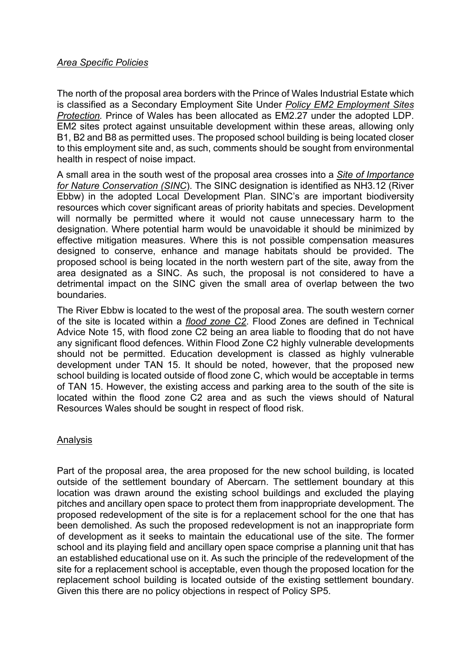## Area Specific Policies

The north of the proposal area borders with the Prince of Wales Industrial Estate which is classified as a Secondary Employment Site Under Policy EM2 Employment Sites Protection. Prince of Wales has been allocated as EM2.27 under the adopted LDP. EM2 sites protect against unsuitable development within these areas, allowing only B1, B2 and B8 as permitted uses. The proposed school building is being located closer to this employment site and, as such, comments should be sought from environmental health in respect of noise impact.

A small area in the south west of the proposal area crosses into a Site of Importance for Nature Conservation (SINC). The SINC designation is identified as NH3.12 (River Ebbw) in the adopted Local Development Plan. SINC's are important biodiversity resources which cover significant areas of priority habitats and species. Development will normally be permitted where it would not cause unnecessary harm to the designation. Where potential harm would be unavoidable it should be minimized by effective mitigation measures. Where this is not possible compensation measures designed to conserve, enhance and manage habitats should be provided. The proposed school is being located in the north western part of the site, away from the area designated as a SINC. As such, the proposal is not considered to have a detrimental impact on the SINC given the small area of overlap between the two boundaries.

The River Ebbw is located to the west of the proposal area. The south western corner of the site is located within a flood zone C2. Flood Zones are defined in Technical Advice Note 15, with flood zone C2 being an area liable to flooding that do not have any significant flood defences. Within Flood Zone C2 highly vulnerable developments should not be permitted. Education development is classed as highly vulnerable development under TAN 15. It should be noted, however, that the proposed new school building is located outside of flood zone C, which would be acceptable in terms of TAN 15. However, the existing access and parking area to the south of the site is located within the flood zone C2 area and as such the views should of Natural Resources Wales should be sought in respect of flood risk.

## Analysis

Part of the proposal area, the area proposed for the new school building, is located outside of the settlement boundary of Abercarn. The settlement boundary at this location was drawn around the existing school buildings and excluded the playing pitches and ancillary open space to protect them from inappropriate development. The proposed redevelopment of the site is for a replacement school for the one that has been demolished. As such the proposed redevelopment is not an inappropriate form of development as it seeks to maintain the educational use of the site. The former school and its playing field and ancillary open space comprise a planning unit that has an established educational use on it. As such the principle of the redevelopment of the site for a replacement school is acceptable, even though the proposed location for the replacement school building is located outside of the existing settlement boundary. Given this there are no policy objections in respect of Policy SP5.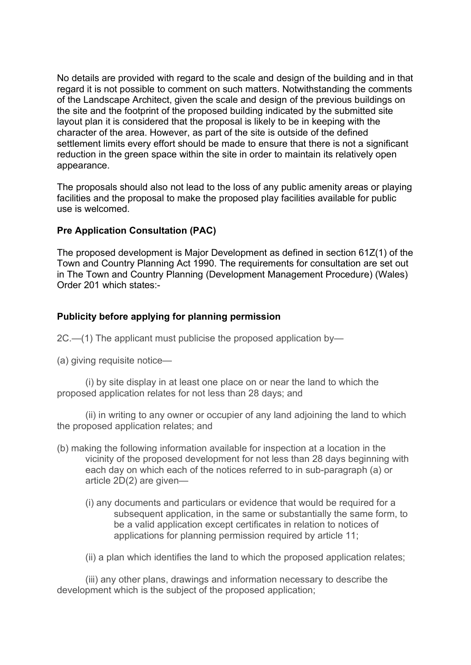No details are provided with regard to the scale and design of the building and in that regard it is not possible to comment on such matters. Notwithstanding the comments of the Landscape Architect, given the scale and design of the previous buildings on the site and the footprint of the proposed building indicated by the submitted site layout plan it is considered that the proposal is likely to be in keeping with the character of the area. However, as part of the site is outside of the defined settlement limits every effort should be made to ensure that there is not a significant reduction in the green space within the site in order to maintain its relatively open appearance.

The proposals should also not lead to the loss of any public amenity areas or playing facilities and the proposal to make the proposed play facilities available for public use is welcomed.

## Pre Application Consultation (PAC)

The proposed development is Major Development as defined in section 61Z(1) of the Town and Country Planning Act 1990. The requirements for consultation are set out in The Town and Country Planning (Development Management Procedure) (Wales) Order 201 which states:-

## Publicity before applying for planning permission

2C.—(1) The applicant must publicise the proposed application by—

(a) giving requisite notice—

(i) by site display in at least one place on or near the land to which the proposed application relates for not less than 28 days; and

(ii) in writing to any owner or occupier of any land adjoining the land to which the proposed application relates; and

- (b) making the following information available for inspection at a location in the vicinity of the proposed development for not less than 28 days beginning with each day on which each of the notices referred to in sub-paragraph (a) or article 2D(2) are given—
	- (i) any documents and particulars or evidence that would be required for a subsequent application, in the same or substantially the same form, to be a valid application except certificates in relation to notices of applications for planning permission required by article 11;
	- (ii) a plan which identifies the land to which the proposed application relates;

(iii) any other plans, drawings and information necessary to describe the development which is the subject of the proposed application;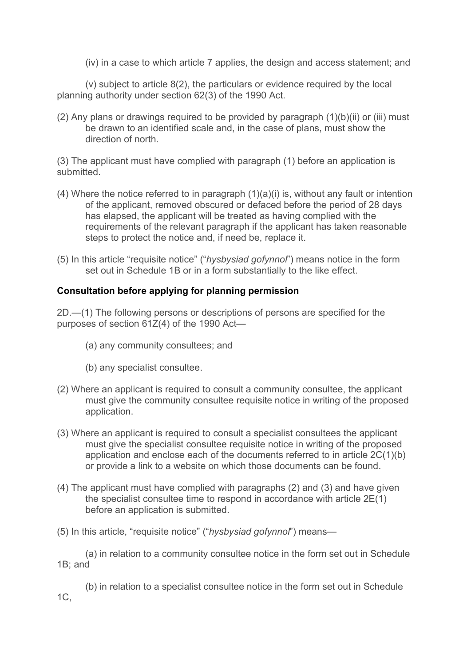(iv) in a case to which article 7 applies, the design and access statement; and

(v) subject to article 8(2), the particulars or evidence required by the local planning authority under section 62(3) of the 1990 Act.

(2) Any plans or drawings required to be provided by paragraph  $(1)(b)(ii)$  or  $(iii)$  must be drawn to an identified scale and, in the case of plans, must show the direction of north.

(3) The applicant must have complied with paragraph (1) before an application is submitted.

- (4) Where the notice referred to in paragraph (1)(a)(i) is, without any fault or intention of the applicant, removed obscured or defaced before the period of 28 days has elapsed, the applicant will be treated as having complied with the requirements of the relevant paragraph if the applicant has taken reasonable steps to protect the notice and, if need be, replace it.
- (5) In this article "requisite notice" ("hysbysiad gofynnol") means notice in the form set out in Schedule 1B or in a form substantially to the like effect.

# Consultation before applying for planning permission

2D.—(1) The following persons or descriptions of persons are specified for the purposes of section 61Z(4) of the 1990 Act—

- (a) any community consultees; and
- (b) any specialist consultee.
- (2) Where an applicant is required to consult a community consultee, the applicant must give the community consultee requisite notice in writing of the proposed application.
- (3) Where an applicant is required to consult a specialist consultees the applicant must give the specialist consultee requisite notice in writing of the proposed application and enclose each of the documents referred to in article 2C(1)(b) or provide a link to a website on which those documents can be found.
- (4) The applicant must have complied with paragraphs (2) and (3) and have given the specialist consultee time to respond in accordance with article 2E(1) before an application is submitted.
- (5) In this article, "requisite notice" ("hysbysiad gofynnol") means—

(a) in relation to a community consultee notice in the form set out in Schedule 1B; and

(b) in relation to a specialist consultee notice in the form set out in Schedule 1C,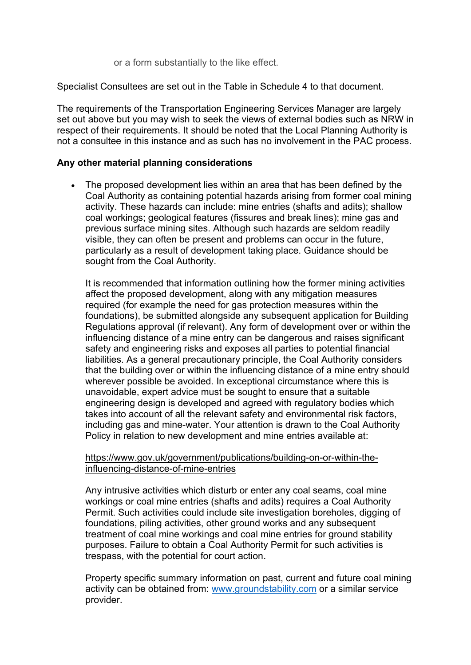or a form substantially to the like effect.

Specialist Consultees are set out in the Table in Schedule 4 to that document.

The requirements of the Transportation Engineering Services Manager are largely set out above but you may wish to seek the views of external bodies such as NRW in respect of their requirements. It should be noted that the Local Planning Authority is not a consultee in this instance and as such has no involvement in the PAC process.

## Any other material planning considerations

 The proposed development lies within an area that has been defined by the Coal Authority as containing potential hazards arising from former coal mining activity. These hazards can include: mine entries (shafts and adits); shallow coal workings; geological features (fissures and break lines); mine gas and previous surface mining sites. Although such hazards are seldom readily visible, they can often be present and problems can occur in the future, particularly as a result of development taking place. Guidance should be sought from the Coal Authority.

It is recommended that information outlining how the former mining activities affect the proposed development, along with any mitigation measures required (for example the need for gas protection measures within the foundations), be submitted alongside any subsequent application for Building Regulations approval (if relevant). Any form of development over or within the influencing distance of a mine entry can be dangerous and raises significant safety and engineering risks and exposes all parties to potential financial liabilities. As a general precautionary principle, the Coal Authority considers that the building over or within the influencing distance of a mine entry should wherever possible be avoided. In exceptional circumstance where this is unavoidable, expert advice must be sought to ensure that a suitable engineering design is developed and agreed with regulatory bodies which takes into account of all the relevant safety and environmental risk factors, including gas and mine-water. Your attention is drawn to the Coal Authority Policy in relation to new development and mine entries available at:

### https://www.gov.uk/government/publications/building-on-or-within-theinfluencing-distance-of-mine-entries

Any intrusive activities which disturb or enter any coal seams, coal mine workings or coal mine entries (shafts and adits) requires a Coal Authority Permit. Such activities could include site investigation boreholes, digging of foundations, piling activities, other ground works and any subsequent treatment of coal mine workings and coal mine entries for ground stability purposes. Failure to obtain a Coal Authority Permit for such activities is trespass, with the potential for court action.

Property specific summary information on past, current and future coal mining activity can be obtained from: www.groundstability.com or a similar service provider.